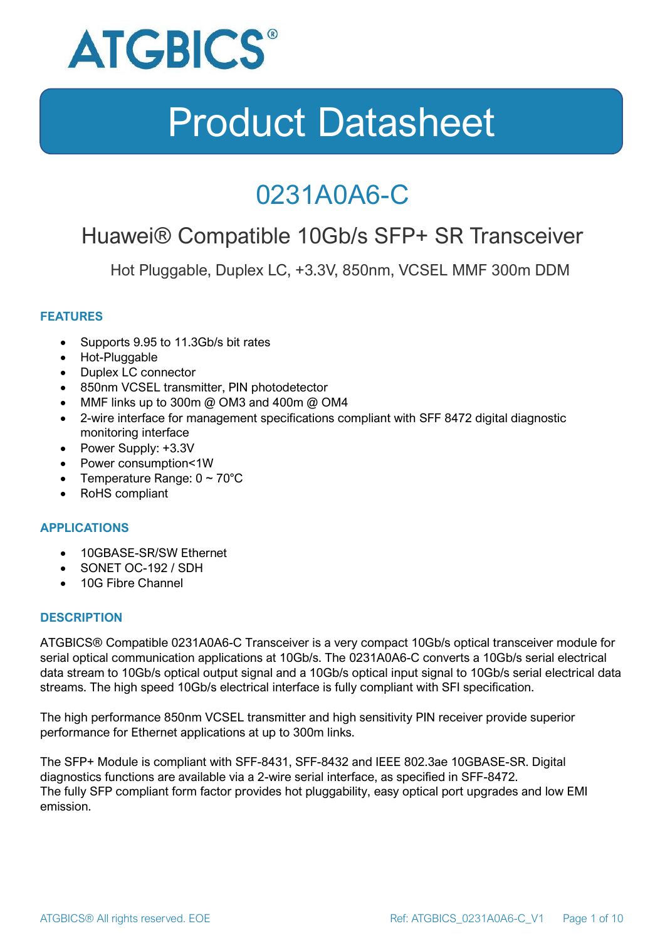

### 0231A0A6-C

### Huawei® Compatible 10Gb/s SFP+ SR Transceiver

Hot Pluggable, Duplex LC, +3.3V, 850nm, VCSEL MMF 300m DDM

### **FEATURES**

- Supports 9.95 to 11.3Gb/s bit rates
- Hot-Pluggable
- Duplex LC connector
- 850nm VCSEL transmitter, PIN photodetector
- MMF links up to 300m @ OM3 and 400m @ OM4
- 2-wire interface for management specifications compliant with SFF 8472 digital diagnostic monitoring interface
- Power Supply: +3.3V
- Power consumption<1W
- Temperature Range:  $0 \sim 70^{\circ}$ C
- RoHS compliant

#### **APPLICATIONS**

- 10GBASE-SR/SW Ethernet
- SONET OC-192 / SDH
- 10G Fibre Channel

#### **DESCRIPTION**

ATGBICS® Compatible 0231A0A6-C Transceiver is a very compact 10Gb/s optical transceiver module for serial optical communication applications at 10Gb/s. The 0231A0A6-C converts a 10Gb/s serial electrical data stream to 10Gb/s optical output signal and a 10Gb/s optical input signal to 10Gb/s serial electrical data streams. The high speed 10Gb/s electrical interface is fully compliant with SFI specification.

The high performance 850nm VCSEL transmitter and high sensitivity PIN receiver provide superior performance for Ethernet applications at up to 300m links.

The SFP+ Module is compliant with SFF-8431, SFF-8432 and IEEE 802.3ae 10GBASE-SR. Digital diagnostics functions are available via a 2-wire serial interface, as specified in SFF-8472. The fully SFP compliant form factor provides hot pluggability, easy optical port upgrades and low EMI emission.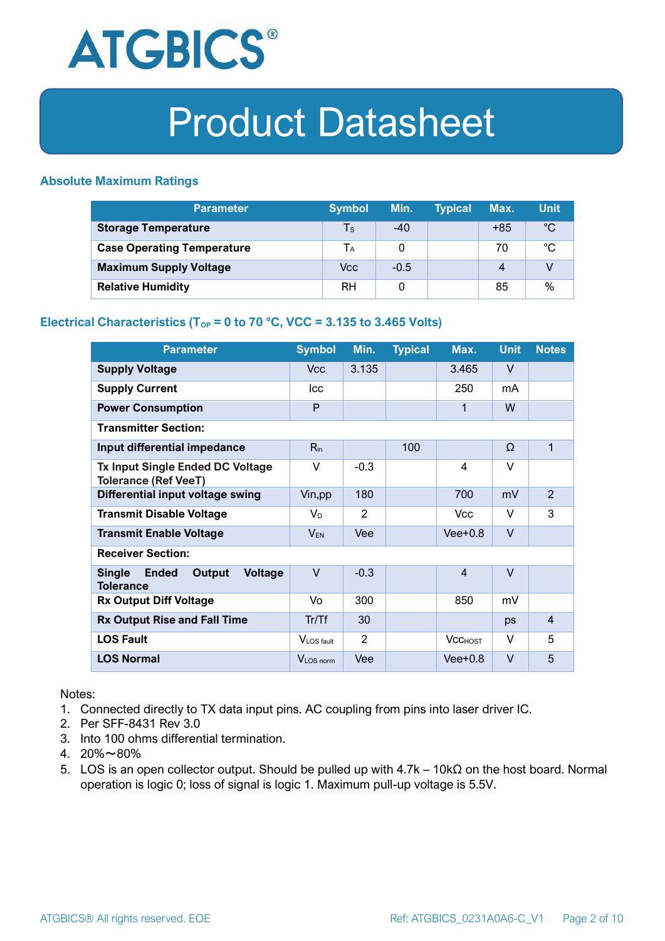

### **Absolute Maximum Ratings**

| <b>Parameter</b>                  | <b>Symbol</b> | Min.   | <b>Typical</b> | Max.  | <b>Unit</b> |
|-----------------------------------|---------------|--------|----------------|-------|-------------|
| <b>Storage Temperature</b>        | Ts            | $-40$  |                | $+85$ | $^{\circ}C$ |
| <b>Case Operating Temperature</b> | Tа            |        |                | 70    | °C          |
| <b>Maximum Supply Voltage</b>     | Vcc           | $-0.5$ |                | 4     |             |
| <b>Relative Humidity</b>          | RH            |        |                | 85    | %           |

### **Electrical Characteristics (T<sub>OP</sub> = 0 to 70 °C, VCC = 3.135 to 3.465 Volts)**

| <b>Parameter</b>                                                              | <b>Symbol</b>         | Min.   | <b>Typical</b> | Max.           | <b>Unit</b> | <b>Notes</b>   |
|-------------------------------------------------------------------------------|-----------------------|--------|----------------|----------------|-------------|----------------|
| <b>Supply Voltage</b>                                                         | V <sub>cc</sub>       | 3.135  |                | 3.465          | $\vee$      |                |
| <b>Supply Current</b>                                                         | <b>Icc</b>            |        |                | 250            | mA          |                |
| <b>Power Consumption</b>                                                      | P                     |        |                | 1              | W           |                |
| <b>Transmitter Section:</b>                                                   |                       |        |                |                |             |                |
| Input differential impedance                                                  | $R_{in}$              |        | 100            |                | Ω           | 1              |
| <b>Tx Input Single Ended DC Voltage</b><br><b>Tolerance (Ref VeeT)</b>        | $\vee$                | $-0.3$ |                | $\overline{4}$ | $\vee$      |                |
| Differential input voltage swing                                              | Vin, pp               | 180    |                | 700            | mV          | $\overline{2}$ |
| <b>Transmit Disable Voltage</b>                                               | $V_D$                 | 2      |                | <b>Vcc</b>     | $\vee$      | 3              |
| <b>Transmit Enable Voltage</b>                                                | $V_{EN}$              | Vee    |                | $Vee+0.8$      | $\vee$      |                |
| <b>Receiver Section:</b>                                                      |                       |        |                |                |             |                |
| <b>Single</b><br><b>Ended</b><br>Output<br><b>Voltage</b><br><b>Tolerance</b> | $\vee$                | $-0.3$ |                | $\overline{4}$ | $\vee$      |                |
| <b>Rx Output Diff Voltage</b>                                                 | Vo                    | 300    |                | 850            | mV          |                |
| <b>Rx Output Rise and Fall Time</b>                                           | Tr/Tf                 | 30     |                |                | ps          | $\overline{4}$ |
| <b>LOS Fault</b>                                                              | VLOS fault            | 2      |                | <b>VCCHOST</b> | V           | 5              |
| <b>LOS Normal</b>                                                             | V <sub>LOS</sub> norm | Vee    |                | $Vee+0.8$      | $\vee$      | 5              |

Notes:

- 1. Connected directly to TX data input pins. AC coupling from pins into laser driver IC.
- 2. Per SFF-8431 Rev 3.0
- 3. Into 100 ohms differential termination.
- 4. 20%~80%
- 5. LOS is an open collector output. Should be pulled up with 4.7k 10kΩ on the host board. Normal operation is logic 0; loss of signal is logic 1. Maximum pull-up voltage is 5.5V.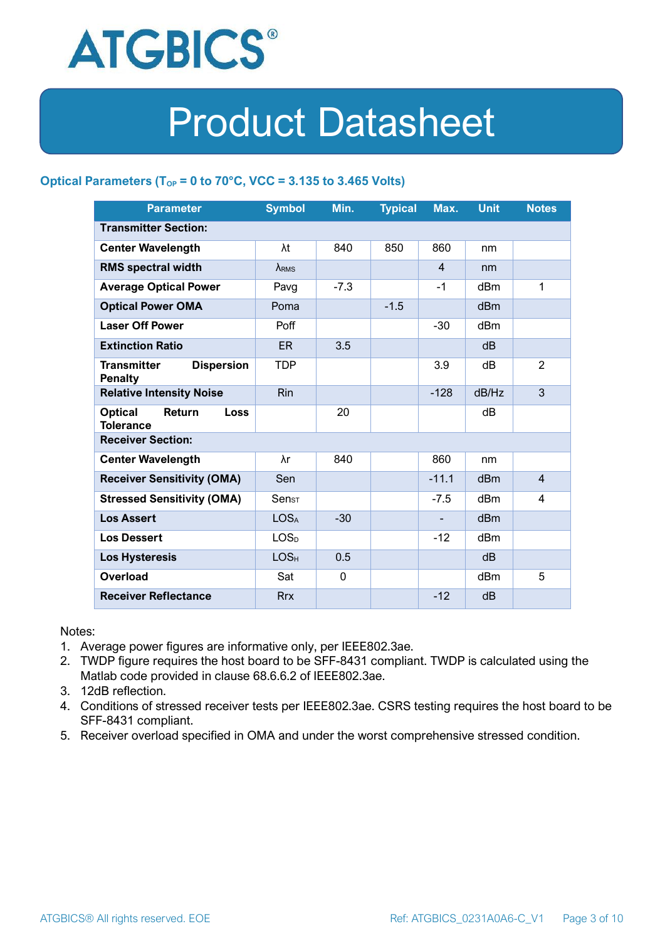

### **Optical Parameters** ( $T_{OP} = 0$  to 70°C, VCC = 3.135 to 3.465 Volts)

| <b>Parameter</b>                                          | <b>Symbol</b>    | Min.        | <b>Typical</b> | Max.           | <b>Unit</b>     | <b>Notes</b>   |
|-----------------------------------------------------------|------------------|-------------|----------------|----------------|-----------------|----------------|
| <b>Transmitter Section:</b>                               |                  |             |                |                |                 |                |
| <b>Center Wavelength</b>                                  | λt               | 840         | 850            | 860            | nm              |                |
| <b>RMS spectral width</b>                                 | $\lambda_{RMS}$  |             |                | $\overline{4}$ | nm              |                |
| <b>Average Optical Power</b>                              | Pavg             | $-7.3$      |                | $-1$           | dBm             | 1              |
| <b>Optical Power OMA</b>                                  | Poma             |             | $-1.5$         |                | dBm             |                |
| <b>Laser Off Power</b>                                    | Poff             |             |                | $-30$          | dBm             |                |
| <b>Extinction Ratio</b>                                   | <b>ER</b>        | 3.5         |                |                | dB              |                |
| <b>Transmitter</b><br><b>Dispersion</b><br><b>Penalty</b> | <b>TDP</b>       |             |                | 3.9            | dB              | $\overline{2}$ |
| <b>Relative Intensity Noise</b>                           | <b>Rin</b>       |             |                | $-128$         | dB/Hz           | 3              |
| <b>Optical</b><br>Return<br>Loss<br><b>Tolerance</b>      |                  | 20          |                |                | dB              |                |
| <b>Receiver Section:</b>                                  |                  |             |                |                |                 |                |
| <b>Center Wavelength</b>                                  | λr               | 840         |                | 860            | nm              |                |
| <b>Receiver Sensitivity (OMA)</b>                         | Sen              |             |                | $-11.1$        | d <sub>Bm</sub> | $\overline{4}$ |
| <b>Stressed Sensitivity (OMA)</b>                         | $Sens_{T}$       |             |                | $-7.5$         | dB <sub>m</sub> | 4              |
| <b>Los Assert</b>                                         | <b>LOSA</b>      | $-30$       |                |                | d <sub>Bm</sub> |                |
| <b>Los Dessert</b>                                        | LOS <sub>D</sub> |             |                | $-12$          | dBm             |                |
| <b>Los Hysteresis</b>                                     | LOS <sub>H</sub> | 0.5         |                |                | dB              |                |
| <b>Overload</b>                                           | Sat              | $\mathbf 0$ |                |                | dBm             | 5              |
| <b>Receiver Reflectance</b>                               | <b>Rrx</b>       |             |                | $-12$          | dB              |                |

Notes:

- 1. Average power figures are informative only, per IEEE802.3ae.
- 2. TWDP figure requires the host board to be SFF-8431 compliant. TWDP is calculated using the Matlab code provided in clause 68.6.6.2 of IEEE802.3ae.
- 3. 12dB reflection.
- 4. Conditions of stressed receiver tests per IEEE802.3ae. CSRS testing requires the host board to be SFF-8431 compliant.
- 5. Receiver overload specified in OMA and under the worst comprehensive stressed condition.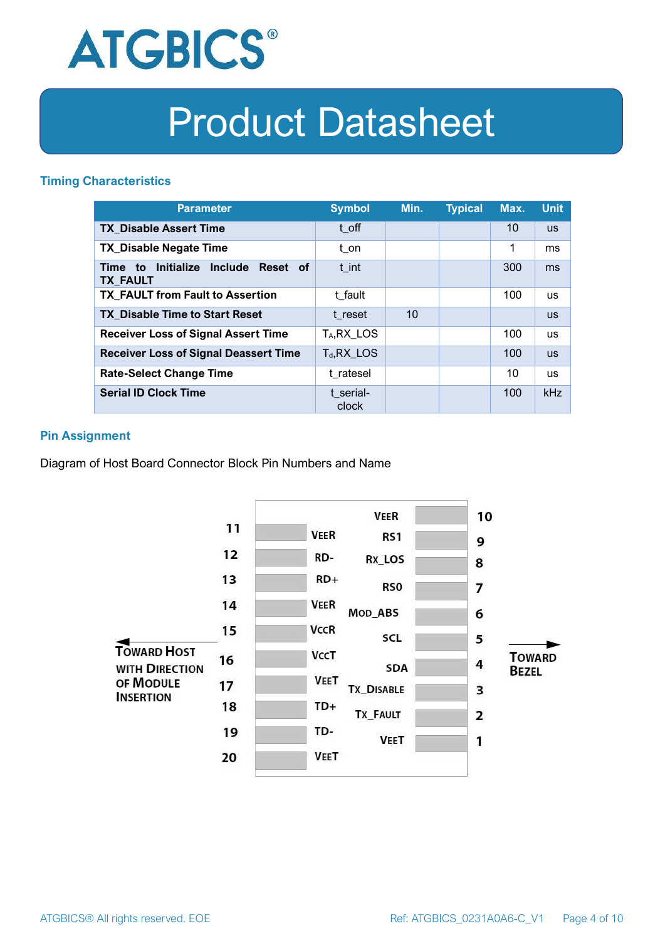

### **Timing Characteristics**

| <b>Parameter</b>                                             | <b>Symbol</b>           | Min. | <b>Typical</b> | Max. | <b>Unit</b> |
|--------------------------------------------------------------|-------------------------|------|----------------|------|-------------|
| <b>TX Disable Assert Time</b>                                | t off                   |      |                | 10   | <b>US</b>   |
| <b>TX_Disable Negate Time</b>                                | t_on                    |      |                | 1    | ms          |
| Initialize Include<br>Reset of<br>Time to<br><b>TX FAULT</b> | t int                   |      |                | 300  | ms          |
| <b>TX FAULT from Fault to Assertion</b>                      | t fault                 |      |                | 100  | <b>us</b>   |
| <b>TX Disable Time to Start Reset</b>                        | t reset                 | 10   |                |      | <b>US</b>   |
| <b>Receiver Loss of Signal Assert Time</b>                   | T <sub>A</sub> , RX LOS |      |                | 100  | <b>us</b>   |
| <b>Receiver Loss of Signal Deassert Time</b>                 | $T_d, RX$ LOS           |      |                | 100  | <b>US</b>   |
| <b>Rate-Select Change Time</b>                               | t ratesel               |      |                | 10   | <b>us</b>   |
| <b>Serial ID Clock Time</b>                                  | t serial-<br>clock      |      |                | 100  | kHz         |

### **Pin Assignment**

Diagram of Host Board Connector Block Pin Numbers and Name

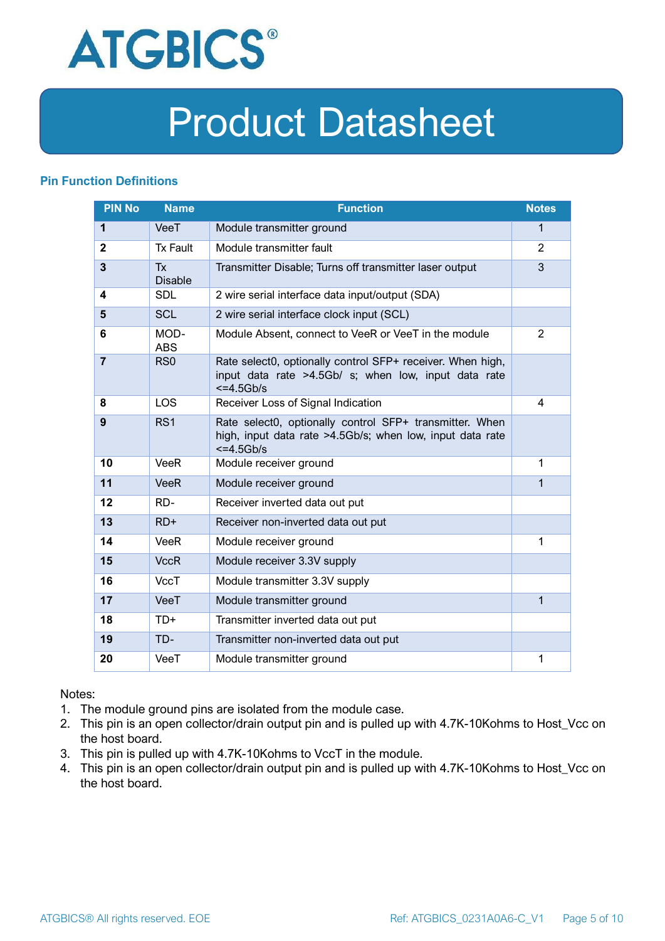

### **Pin Function Definitions**

| <b>PIN No</b>  | <b>Name</b>                 | <b>Function</b>                                                                                                                       | <b>Notes</b>   |
|----------------|-----------------------------|---------------------------------------------------------------------------------------------------------------------------------------|----------------|
| 1              | VeeT                        | Module transmitter ground                                                                                                             | $\mathbf 1$    |
| $\mathbf{2}$   | <b>Tx Fault</b>             | Module transmitter fault                                                                                                              | 2              |
| $\overline{3}$ | <b>Tx</b><br><b>Disable</b> | Transmitter Disable; Turns off transmitter laser output                                                                               | 3              |
| 4              | <b>SDL</b>                  | 2 wire serial interface data input/output (SDA)                                                                                       |                |
| 5              | <b>SCL</b>                  | 2 wire serial interface clock input (SCL)                                                                                             |                |
| 6              | MOD-<br><b>ABS</b>          | Module Absent, connect to VeeR or VeeT in the module                                                                                  | $\overline{2}$ |
| $\overline{7}$ | RS <sub>0</sub>             | Rate select0, optionally control SFP+ receiver. When high,<br>input data rate >4.5Gb/ s; when low, input data rate<br>$\leq$ =4.5Gb/s |                |
| 8              | <b>LOS</b>                  | Receiver Loss of Signal Indication                                                                                                    | 4              |
| 9              | RS <sub>1</sub>             | Rate select0, optionally control SFP+ transmitter. When<br>high, input data rate >4.5Gb/s; when low, input data rate<br>$<=4.5Gb/s$   |                |
| 10             | <b>VeeR</b>                 | Module receiver ground                                                                                                                | 1              |
| 11             | <b>VeeR</b>                 | Module receiver ground                                                                                                                | 1              |
| 12             | RD-                         | Receiver inverted data out put                                                                                                        |                |
| 13             | $RD+$                       | Receiver non-inverted data out put                                                                                                    |                |
| 14             | VeeR                        | Module receiver ground                                                                                                                | 1              |
| 15             | <b>VccR</b>                 | Module receiver 3.3V supply                                                                                                           |                |
| 16             | VccT                        | Module transmitter 3.3V supply                                                                                                        |                |
| 17             | VeeT                        | Module transmitter ground                                                                                                             | $\mathbf{1}$   |
| 18             | $TD+$                       | Transmitter inverted data out put                                                                                                     |                |
| 19             | TD-                         | Transmitter non-inverted data out put                                                                                                 |                |
| 20             | VeeT                        | Module transmitter ground                                                                                                             | 1              |

Notes:

- 1. The module ground pins are isolated from the module case.
- 2. This pin is an open collector/drain output pin and is pulled up with 4.7K-10Kohms to Host\_Vcc on the host board.
- 3. This pin is pulled up with 4.7K-10Kohms to VccT in the module.
- 4. This pin is an open collector/drain output pin and is pulled up with 4.7K-10Kohms to Host Vcc on the host board.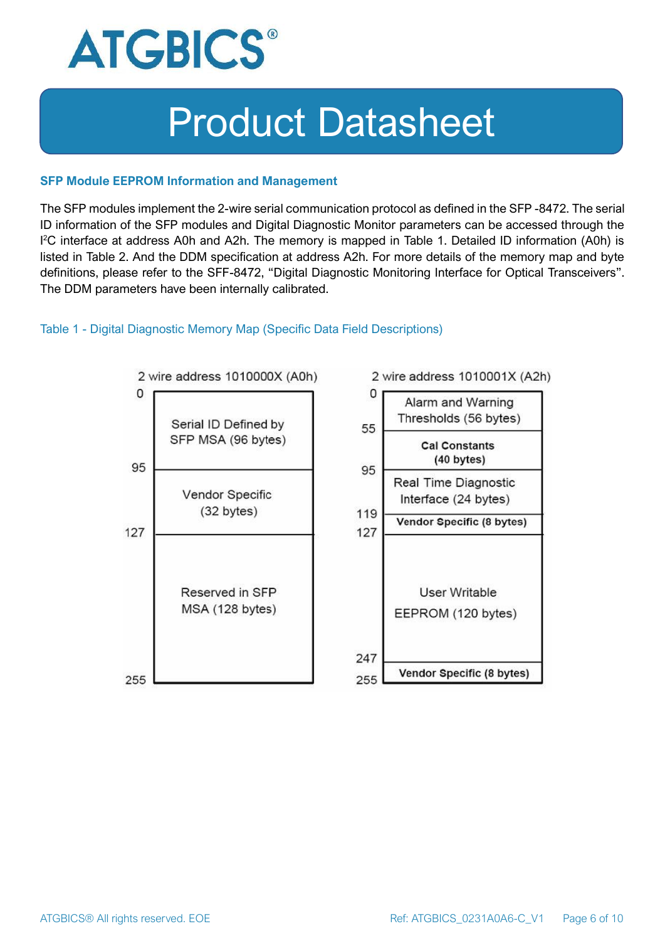

#### **SFP Module EEPROM Information and Management**

The SFP modules implement the 2-wire serial communication protocol as defined in the SFP -8472. The serial ID information of the SFP modules and Digital Diagnostic Monitor parameters can be accessed through the I <sup>2</sup>C interface at address A0h and A2h. The memory is mapped in Table 1. Detailed ID information (A0h) is listed in Table 2. And the DDM specification at address A2h. For more details of the memory map and byte definitions, please refer to the SFF-8472, "Digital Diagnostic Monitoring Interface for Optical Transceivers". The DDM parameters have been internally calibrated.

#### Table 1 - Digital Diagnostic Memory Map (Specific Data Field Descriptions)

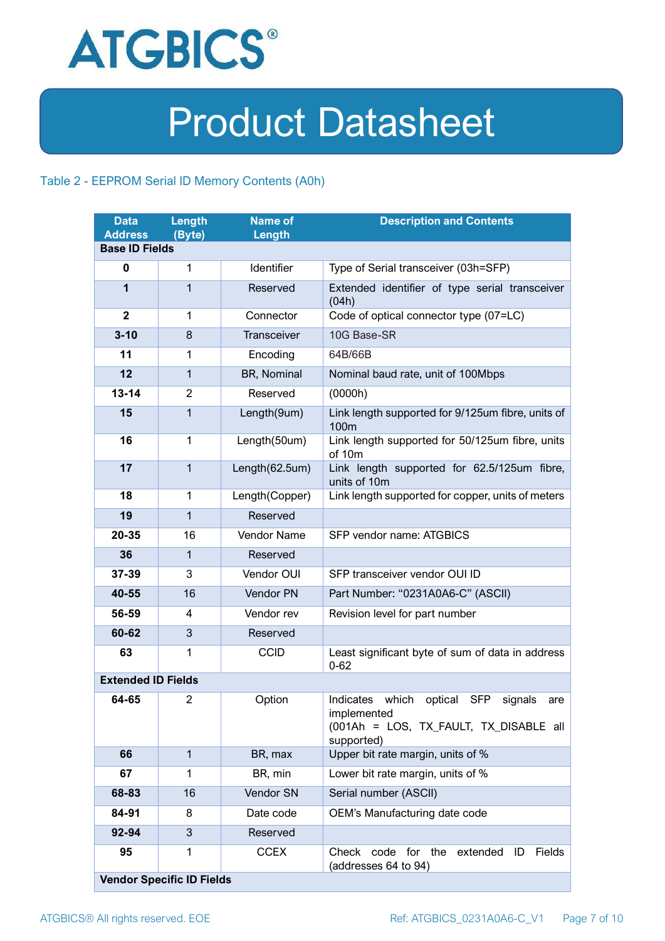

### Table 2 - EEPROM Serial ID Memory Contents (A0h)

| <b>Data</b><br><b>Address</b> | Length<br>(Byte)                 | <b>Name of</b><br>Length | <b>Description and Contents</b>                                                                                                   |
|-------------------------------|----------------------------------|--------------------------|-----------------------------------------------------------------------------------------------------------------------------------|
| <b>Base ID Fields</b>         |                                  |                          |                                                                                                                                   |
| $\mathbf 0$                   | 1                                | Identifier               | Type of Serial transceiver (03h=SFP)                                                                                              |
| 1                             | $\mathbf{1}$                     | Reserved                 | Extended identifier of type serial transceiver<br>(04h)                                                                           |
| $\mathbf{2}$                  | 1                                | Connector                | Code of optical connector type (07=LC)                                                                                            |
| $3 - 10$                      | 8                                | Transceiver              | 10G Base-SR                                                                                                                       |
| 11                            | 1                                | Encoding                 | 64B/66B                                                                                                                           |
| 12                            | $\mathbf{1}$                     | BR, Nominal              | Nominal baud rate, unit of 100Mbps                                                                                                |
| $13 - 14$                     | 2                                | Reserved                 | (0000h)                                                                                                                           |
| 15                            | $\mathbf{1}$                     | Length(9um)              | Link length supported for 9/125um fibre, units of<br>100 <sub>m</sub>                                                             |
| 16                            | $\mathbf{1}$                     | Length(50um)             | Link length supported for 50/125um fibre, units<br>of 10m                                                                         |
| 17                            | $\mathbf{1}$                     | Length(62.5um)           | Link length supported for 62.5/125um fibre,<br>units of 10m                                                                       |
| 18                            | $\mathbf{1}$                     | Length(Copper)           | Link length supported for copper, units of meters                                                                                 |
| 19                            | $\mathbf{1}$                     | Reserved                 |                                                                                                                                   |
| 20-35                         | 16                               | <b>Vendor Name</b>       | SFP vendor name: ATGBICS                                                                                                          |
| 36                            | $\mathbf{1}$                     | Reserved                 |                                                                                                                                   |
| 37-39                         | 3                                | Vendor OUI               | SFP transceiver vendor OUI ID                                                                                                     |
| 40-55                         | 16                               | Vendor PN                | Part Number: "0231A0A6-C" (ASCII)                                                                                                 |
| 56-59                         | 4                                | Vendor rev               | Revision level for part number                                                                                                    |
| 60-62                         | 3                                | Reserved                 |                                                                                                                                   |
| 63                            | 1                                | <b>CCID</b>              | Least significant byte of sum of data in address<br>$0 - 62$                                                                      |
| <b>Extended ID Fields</b>     |                                  |                          |                                                                                                                                   |
| 64-65                         | $\overline{2}$                   | Option                   | Indicates which<br>optical<br><b>SFP</b><br>signals<br>are<br>implemented<br>(001Ah = LOS, TX_FAULT, TX_DISABLE all<br>supported) |
| 66                            | $\mathbf{1}$                     | BR, max                  | Upper bit rate margin, units of %                                                                                                 |
| 67                            | 1                                | BR, min                  | Lower bit rate margin, units of %                                                                                                 |
| 68-83                         | 16                               | Vendor SN                | Serial number (ASCII)                                                                                                             |
| 84-91                         | 8                                | Date code                | OEM's Manufacturing date code                                                                                                     |
| 92-94                         | 3                                | Reserved                 |                                                                                                                                   |
| 95                            | 1                                | <b>CCEX</b>              | code for the<br>Fields<br>Check<br>extended<br>ID<br>(addresses 64 to 94)                                                         |
|                               | <b>Vendor Specific ID Fields</b> |                          |                                                                                                                                   |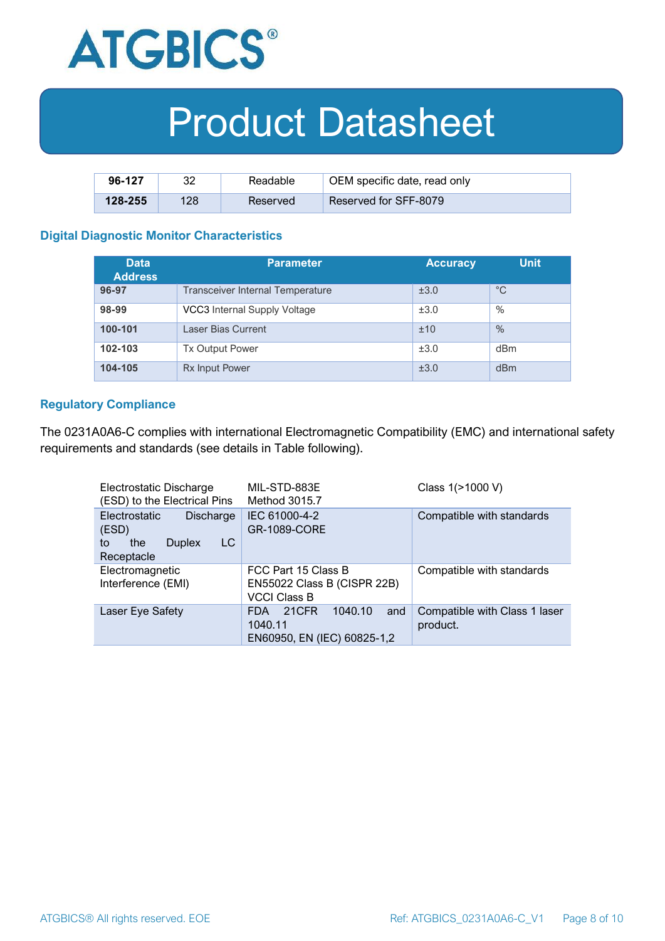

| 96-127      | ററ  | Readable | OEM specific date, read only |
|-------------|-----|----------|------------------------------|
| $128 - 255$ | 128 | Reserved | Reserved for SFF-8079        |

#### **Digital Diagnostic Monitor Characteristics**

| <b>Data</b><br><b>Address</b> | <b>Parameter</b>                        | <b>Accuracy</b> | <b>Unit</b> |
|-------------------------------|-----------------------------------------|-----------------|-------------|
| 96-97                         | <b>Transceiver Internal Temperature</b> | ±3.0            | $^{\circ}C$ |
| 98-99                         | VCC3 Internal Supply Voltage            | ±3.0            | $\%$        |
| 100-101                       | Laser Bias Current                      | ±10             | $\%$        |
| 102-103                       | <b>Tx Output Power</b>                  | ±3.0            | dBm         |
| 104-105                       | <b>Rx Input Power</b>                   | ±3.0            | dBm         |

#### **Regulatory Compliance**

The 0231A0A6-C complies with international Electromagnetic Compatibility (EMC) and international safety requirements and standards (see details in Table following).

| Electrostatic Discharge<br>(ESD) to the Electrical Pins                                      | MIL-STD-883E<br>Method 3015.7                                                   | Class 1(>1000 V)                          |
|----------------------------------------------------------------------------------------------|---------------------------------------------------------------------------------|-------------------------------------------|
| <b>Electrostatic</b><br>Discharge<br>(ESD)<br>LC<br>the<br><b>Duplex</b><br>to<br>Receptacle | IEC 61000-4-2<br><b>GR-1089-CORE</b>                                            | Compatible with standards                 |
| Electromagnetic<br>Interference (EMI)                                                        | FCC Part 15 Class B<br>EN55022 Class B (CISPR 22B)<br><b>VCCI Class B</b>       | Compatible with standards                 |
| Laser Eye Safety                                                                             | 1040.10<br>21CFR<br><b>FDA</b><br>and<br>1040.11<br>EN60950, EN (IEC) 60825-1,2 | Compatible with Class 1 laser<br>product. |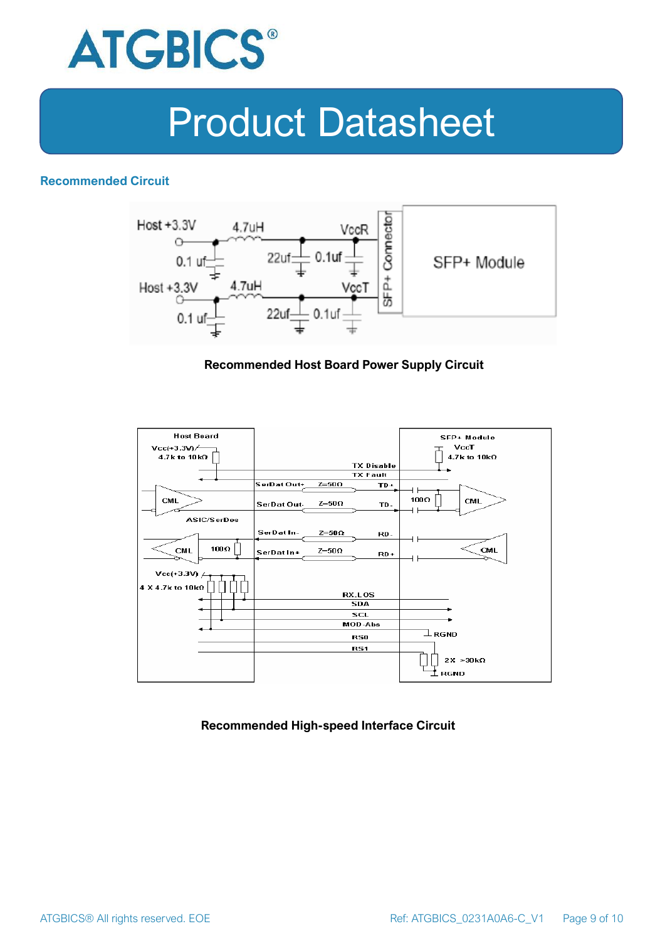

### **Recommended Circuit**



#### **Recommended Host Board Power Supply Circuit**



#### **Recommended High-speed Interface Circuit**